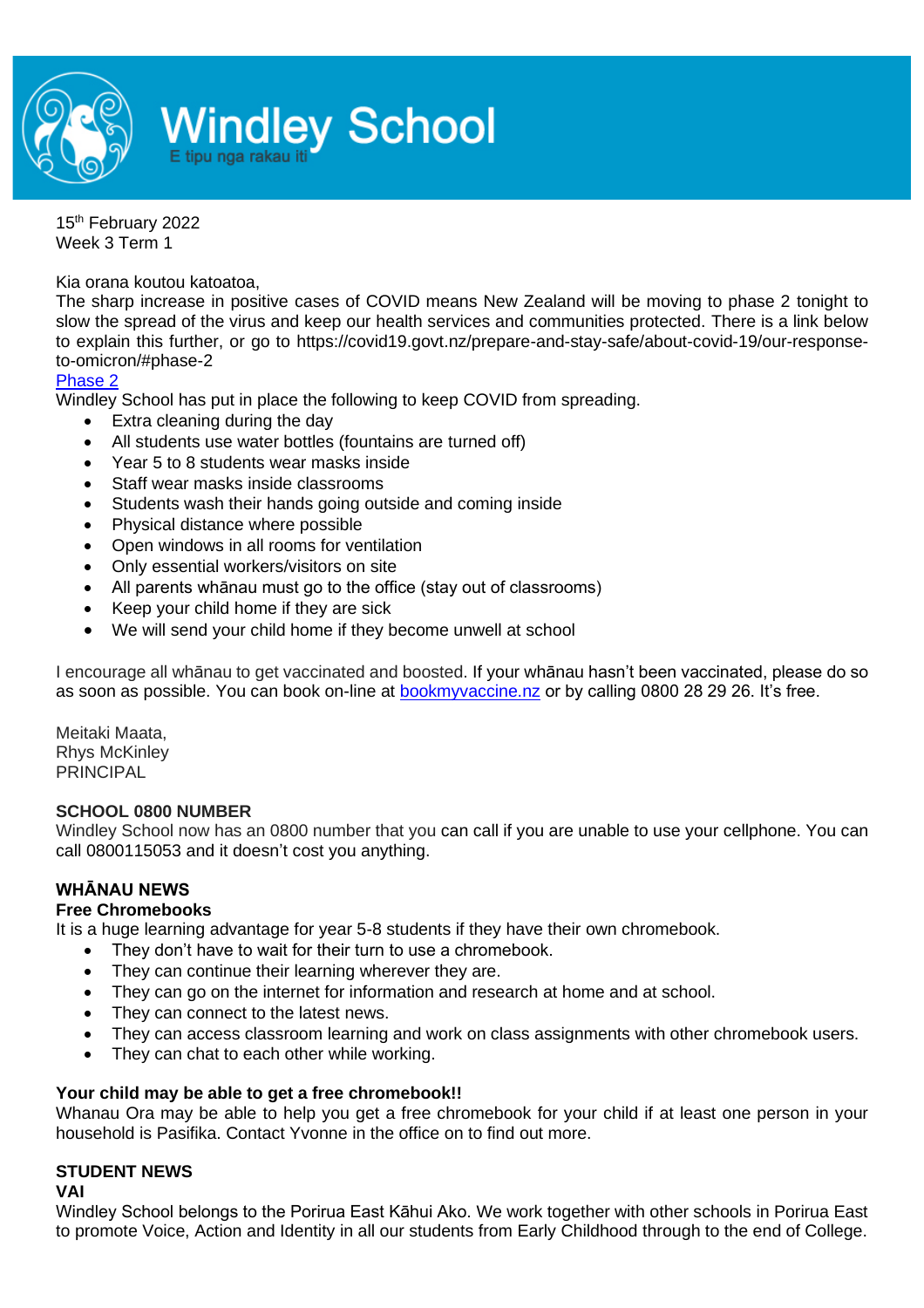

15th February 2022 Week 3 Term 1

Kia orana koutou katoatoa,

The sharp increase in positive cases of COVID means New Zealand will be moving to phase 2 tonight to slow the spread of the virus and keep our health services and communities protected. There is a link below to explain this further, or go to https://covid19.govt.nz/prepare-and-stay-safe/about-covid-19/our-responseto-omicron/#phase-2

[Phase 2](https://covid19.govt.nz/prepare-and-stay-safe/about-covid-19/our-response-to-omicron/#phase-2)

Windley School has put in place the following to keep COVID from spreading.

- Extra cleaning during the day
- All students use water bottles (fountains are turned off)
- Year 5 to 8 students wear masks inside
- Staff wear masks inside classrooms
- Students wash their hands going outside and coming inside
- Physical distance where possible
- Open windows in all rooms for ventilation
- Only essential workers/visitors on site
- All parents whānau must go to the office (stay out of classrooms)
- Keep your child home if they are sick
- We will send your child home if they become unwell at school

I encourage all whānau to get vaccinated and boosted. If your whānau hasn't been vaccinated, please do so as soon as possible. You can book on-line at [bookmyvaccine.nz](https://bookmyvaccine.covid19.health.nz/) or by calling 0800 28 29 26. It's free.

Meitaki Maata, Rhys McKinley PRINCIPAL

### **SCHOOL 0800 NUMBER**

Windley School now has an 0800 number that you can call if you are unable to use your cellphone. You can call 0800115053 and it doesn't cost you anything.

### **WHĀNAU NEWS**

# **Free Chromebooks**

It is a huge learning advantage for year 5-8 students if they have their own chromebook.

- They don't have to wait for their turn to use a chromebook.
- They can continue their learning wherever they are.
- They can go on the internet for information and research at home and at school.
- They can connect to the latest news.
- They can access classroom learning and work on class assignments with other chromebook users.
- They can chat to each other while working.

### **Your child may be able to get a free chromebook!!**

Whanau Ora may be able to help you get a free chromebook for your child if at least one person in your household is Pasifika. Contact Yvonne in the office on to find out more.

# **STUDENT NEWS**

#### **VAI**

Windley School belongs to the Porirua East Kāhui Ako. We work together with other schools in Porirua East to promote Voice, Action and Identity in all our students from Early Childhood through to the end of College.